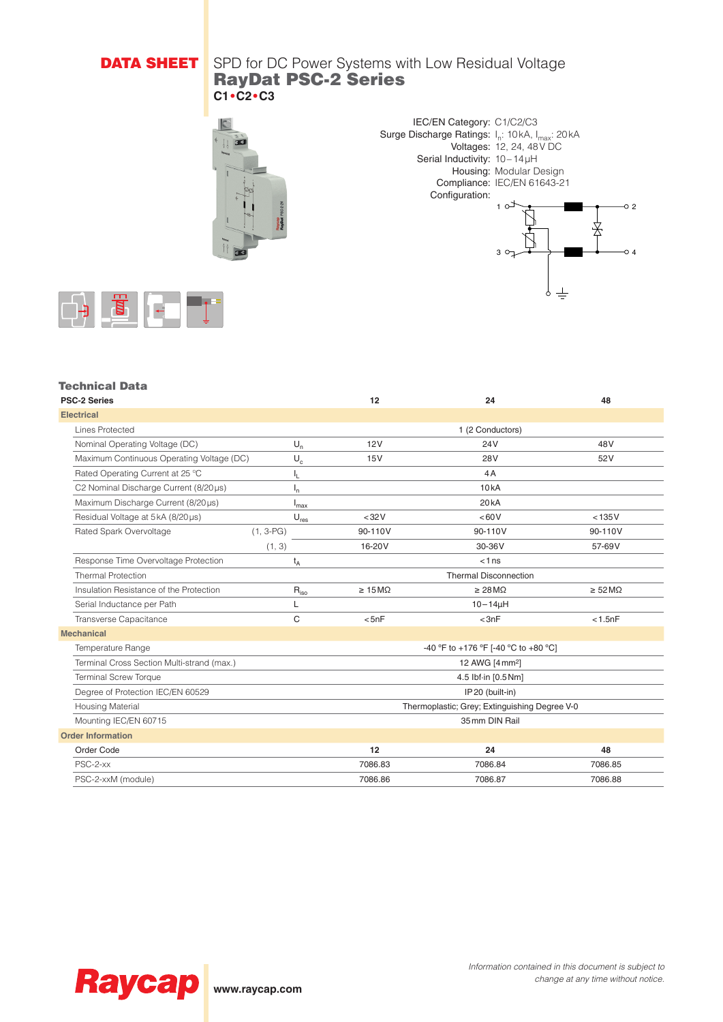# **DATA SHEET** SPD for DC Power Systems with Low Residual Voltage RayDat PSC-2 Series **C1•C2•C3**





 $3^{\circ}$ 

 $\pm$ 

 $\overline{\circ}$  4



### Technical Data

| <b>PSC-2 Series</b>                        |                           | 12                                            | 24                           | 48                           |  |  |
|--------------------------------------------|---------------------------|-----------------------------------------------|------------------------------|------------------------------|--|--|
| <b>Electrical</b>                          |                           |                                               |                              |                              |  |  |
| <b>Lines Protected</b>                     |                           | 1 (2 Conductors)                              |                              |                              |  |  |
| Nominal Operating Voltage (DC)             | $U_n$                     | 12V                                           | 24V                          | 48V                          |  |  |
| Maximum Continuous Operating Voltage (DC)  | $U_c$                     | 15V                                           | 28 <sub>V</sub>              | 52V                          |  |  |
| Rated Operating Current at 25 °C           | ı.                        | 4A                                            |                              |                              |  |  |
| C2 Nominal Discharge Current (8/20us)      | $\mathsf{I}_{\mathsf{n}}$ |                                               | 10kA                         |                              |  |  |
| Maximum Discharge Current (8/20us)         | <sup>I</sup> max          |                                               | 20 <sub>k</sub> A            |                              |  |  |
| Residual Voltage at 5kA (8/20µs)           | $U_{res}$                 | $32V$                                         | <60V                         | < 135V                       |  |  |
| Rated Spark Overvoltage<br>$(1, 3-PG)$     |                           | 90-110V                                       | 90-110V                      | 90-110V                      |  |  |
| (1, 3)                                     |                           | 16-20V                                        | 30-36V                       | 57-69V                       |  |  |
| Response Time Overvoltage Protection       | $t_A$                     |                                               | < 1ns                        |                              |  |  |
| <b>Thermal Protection</b>                  |                           | <b>Thermal Disconnection</b>                  |                              |                              |  |  |
| Insulation Resistance of the Protection    | $R_{iso}$                 | $\geq 15 \,\mathrm{M}\Omega$                  | $\geq 28 \,\mathrm{M}\Omega$ | $\geq 52 \,\mathrm{M}\Omega$ |  |  |
| Serial Inductance per Path                 | L                         | $10 - 14\mu H$                                |                              |                              |  |  |
| Transverse Capacitance                     | C                         | < 5nF                                         | < 3nF                        | < 1.5nF                      |  |  |
| <b>Mechanical</b>                          |                           |                                               |                              |                              |  |  |
| Temperature Range                          |                           | -40 °F to +176 °F [-40 °C to +80 °C]          |                              |                              |  |  |
| Terminal Cross Section Multi-strand (max.) |                           | 12 AWG [4 mm <sup>2</sup> ]                   |                              |                              |  |  |
| <b>Terminal Screw Torque</b>               |                           | 4.5 lbf-in [0.5 Nm]                           |                              |                              |  |  |
| Degree of Protection IEC/EN 60529          |                           | IP20 (built-in)                               |                              |                              |  |  |
| <b>Housing Material</b>                    |                           | Thermoplastic; Grey; Extinguishing Degree V-0 |                              |                              |  |  |
| Mounting IEC/EN 60715                      |                           | 35 mm DIN Rail                                |                              |                              |  |  |
| <b>Order Information</b>                   |                           |                                               |                              |                              |  |  |
| Order Code                                 |                           | 12                                            | 24                           | 48                           |  |  |
| PSC-2-xx                                   |                           | 7086.83                                       | 7086.84                      | 7086.85                      |  |  |
| PSC-2-xxM (module)                         |                           | 7086.86<br>7086.87<br>7086.88                 |                              |                              |  |  |